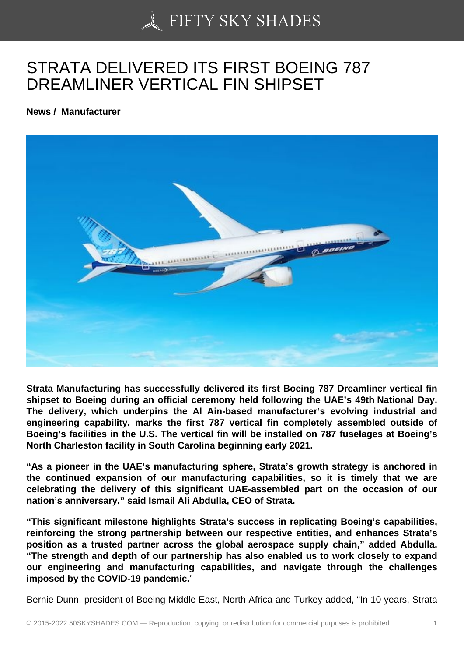## [STRATA DELIVERED](https://50skyshades.com) ITS FIRST BOEING 787 DREAMLINER VERTICAL FIN SHIPSET

News / Manufacturer

Strata Manufacturing has successfully delivered its first Boeing 787 Dreamliner vertical fin shipset to Boeing during an official ceremony held following the UAE's 49th National Day. The delivery, which underpins the Al Ain-based manufacturer's evolving industrial and engineering capability, marks the first 787 vertical fin completely assembled outside of Boeing's facilities in the U.S. The vertical fin will be installed on 787 fuselages at Boeing's North Charleston facility in South Carolina beginning early 2021.

"As a pioneer in the UAE's manufacturing sphere, Strata's growth strategy is anchored in the continued expansion of our manufacturing capabilities, so it is timely that we are celebrating the delivery of this significant UAE-assembled part on the occasion of our nation's anniversary," said Ismail Ali Abdulla, CEO of Strata.

"This significant milestone highlights Strata's success in replicating Boeing's capabilities, reinforcing the strong partnership between our respective entities, and enhances Strata's position as a trusted partner across the global aerospace supply chain," added Abdulla. "The strength and depth of our partnership has also enabled us to work closely to expand our engineering and manufacturing capabilities, and navigate through the challenges imposed by the COVID-19 pandemic.

Bernie Dunn, president of Boeing Middle East, North Africa and Turkey added, "In 10 years, Strata